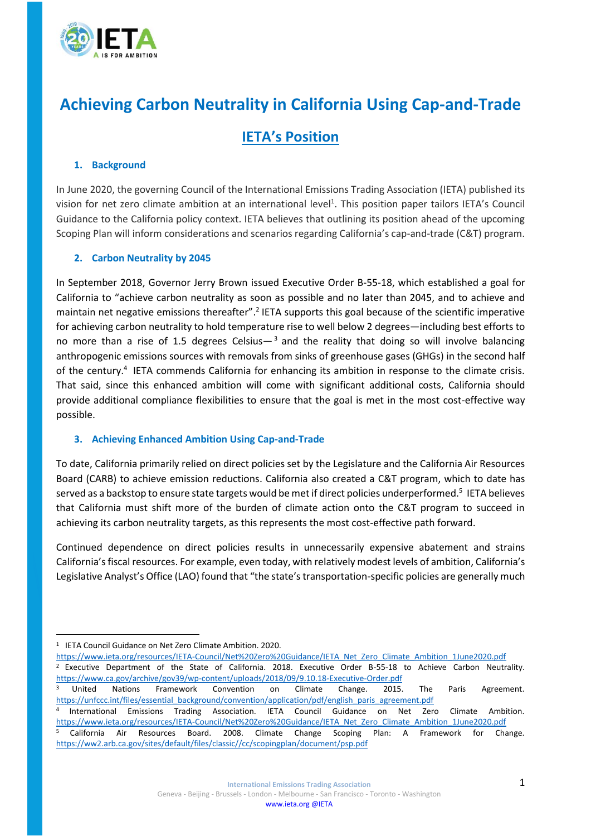

# **Achieving Carbon Neutrality in California Using Cap-and-Trade**

## **IETA's Position**

#### **1. Background**

In June 2020, the governing Council of the International Emissions Trading Association (IETA) published its vision for net zero climate ambition at an international level<sup>1</sup>. This position paper tailors IETA's Council Guidance to the California policy context. IETA believes that outlining its position ahead of the upcoming Scoping Plan will inform considerations and scenarios regarding California's cap-and-trade (C&T) program.

### **2. Carbon Neutrality by 2045**

In September 2018, Governor Jerry Brown issued Executive Order B-55-18, which established a goal for California to "achieve carbon neutrality as soon as possible and no later than 2045, and to achieve and maintain net negative emissions thereafter".<sup>2</sup> IETA supports this goal because of the scientific imperative for achieving carbon neutrality to hold temperature rise to well below 2 degrees—including best efforts to no more than a rise of 1.5 degrees Celsius $-3$  and the reality that doing so will involve balancing anthropogenic emissions sources with removals from sinks of greenhouse gases (GHGs) in the second half of the century.<sup>4</sup> IETA commends California for enhancing its ambition in response to the climate crisis. That said, since this enhanced ambition will come with significant additional costs, California should provide additional compliance flexibilities to ensure that the goal is met in the most cost-effective way possible.

#### **3. Achieving Enhanced Ambition Using Cap-and-Trade**

To date, California primarily relied on direct policies set by the Legislature and the California Air Resources Board (CARB) to achieve emission reductions. California also created a C&T program, which to date has served as a backstop to ensure state targets would be met if direct policies underperformed.<sup>5</sup> IETA believes that California must shift more of the burden of climate action onto the C&T program to succeed in achieving its carbon neutrality targets, as this represents the most cost-effective path forward.

Continued dependence on direct policies results in unnecessarily expensive abatement and strains California's fiscal resources. For example, even today, with relatively modest levels of ambition, California's Legislative Analyst's Office (LAO) found that "the state's transportation-specific policies are generally much

[https://www.ieta.org/resources/IETA-Council/Net%20Zero%20Guidance/IETA\\_Net\\_Zero\\_Climate\\_Ambition\\_1June2020.pdf](https://www.ieta.org/resources/IETA-Council/Net%20Zero%20Guidance/IETA_Net_Zero_Climate_Ambition_1June2020.pdf)

<sup>1</sup> IETA Council Guidance on Net Zero Climate Ambition. 2020.

<sup>2</sup> Executive Department of the State of California. 2018. Executive Order B-55-18 to Achieve Carbon Neutrality. <https://www.ca.gov/archive/gov39/wp-content/uploads/2018/09/9.10.18-Executive-Order.pdf>

<sup>&</sup>lt;sup>3</sup> United Nations Framework Convention on Climate Change. 2015. The Paris Agreement. [https://unfccc.int/files/essential\\_background/convention/application/pdf/english\\_paris\\_agreement.pdf](https://unfccc.int/files/essential_background/convention/application/pdf/english_paris_agreement.pdf)

<sup>4</sup> International Emissions Trading Association. IETA Council Guidance on Net Zero Climate Ambition. [https://www.ieta.org/resources/IETA-Council/Net%20Zero%20Guidance/IETA\\_Net\\_Zero\\_Climate\\_Ambition\\_1June2020.pdf](https://www.ieta.org/resources/IETA-Council/Net%20Zero%20Guidance/IETA_Net_Zero_Climate_Ambition_1June2020.pdf)

<sup>5</sup> California Air Resources Board. 2008. Climate Change Scoping Plan: A Framework for Change. [https://ww2.arb.ca.gov/sites/default/files/classic//cc/scopingplan/document/psp.pdf](https://ww2.arb.ca.gov/sites/default/files/classic/cc/scopingplan/document/psp.pdf)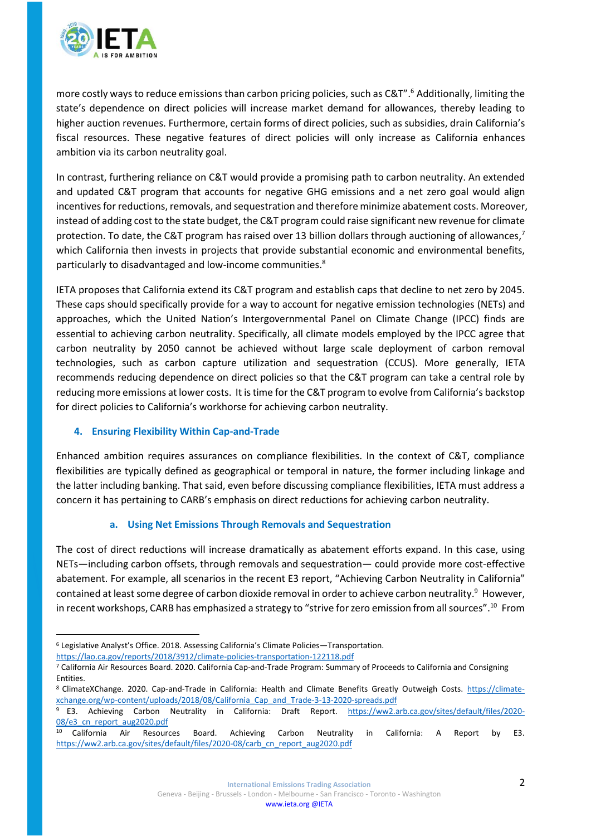

more costly ways to reduce emissions than carbon pricing policies, such as C&T".<sup>6</sup> Additionally, limiting the state's dependence on direct policies will increase market demand for allowances, thereby leading to higher auction revenues. Furthermore, certain forms of direct policies, such as subsidies, drain California's fiscal resources. These negative features of direct policies will only increase as California enhances ambition via its carbon neutrality goal.

In contrast, furthering reliance on C&T would provide a promising path to carbon neutrality. An extended and updated C&T program that accounts for negative GHG emissions and a net zero goal would align incentives for reductions, removals, and sequestration and therefore minimize abatement costs. Moreover, instead of adding cost to the state budget, the C&T program could raise significant new revenue for climate protection. To date, the C&T program has raised over 13 billion dollars through auctioning of allowances,<sup>7</sup> which California then invests in projects that provide substantial economic and environmental benefits, particularly to disadvantaged and low-income communities.<sup>8</sup>

IETA proposes that California extend its C&T program and establish caps that decline to net zero by 2045. These caps should specifically provide for a way to account for negative emission technologies (NETs) and approaches, which the United Nation's Intergovernmental Panel on Climate Change (IPCC) finds are essential to achieving carbon neutrality. Specifically, all climate models employed by the IPCC agree that carbon neutrality by 2050 cannot be achieved without large scale deployment of carbon removal technologies, such as carbon capture utilization and sequestration (CCUS). More generally, IETA recommends reducing dependence on direct policies so that the C&T program can take a central role by reducing more emissions at lower costs. It is time for the C&T program to evolve from California's backstop for direct policies to California's workhorse for achieving carbon neutrality.

#### **4. Ensuring Flexibility Within Cap-and-Trade**

Enhanced ambition requires assurances on compliance flexibilities. In the context of C&T, compliance flexibilities are typically defined as geographical or temporal in nature, the former including linkage and the latter including banking. That said, even before discussing compliance flexibilities, IETA must address a concern it has pertaining to CARB's emphasis on direct reductions for achieving carbon neutrality.

#### **a. Using Net Emissions Through Removals and Sequestration**

The cost of direct reductions will increase dramatically as abatement efforts expand. In this case, using NETs—including carbon offsets, through removals and sequestration— could provide more cost-effective abatement. For example, all scenarios in the recent E3 report, "Achieving Carbon Neutrality in California" contained at least some degree of carbon dioxide removal in order to achieve carbon neutrality.<sup>9</sup> However, in recent workshops, CARB has emphasized a strategy to "strive for zero emission from all sources". <sup>10</sup> From

<sup>6</sup> Legislative Analyst's Office. 2018. Assessing California's Climate Policies—Transportation.

<https://lao.ca.gov/reports/2018/3912/climate-policies-transportation-122118.pdf>

<sup>7</sup> California Air Resources Board. 2020. California Cap-and-Trade Program: Summary of Proceeds to California and Consigning Entities.

<sup>8</sup> ClimateXChange. 2020. Cap-and-Trade in California: Health and Climate Benefits Greatly Outweigh Costs. [https://climate](https://climate-xchange.org/wp-content/uploads/2018/08/California_Cap_and_Trade-3-13-2020-spreads.pdf)[xchange.org/wp-content/uploads/2018/08/California\\_Cap\\_and\\_Trade-3-13-2020-spreads.pdf](https://climate-xchange.org/wp-content/uploads/2018/08/California_Cap_and_Trade-3-13-2020-spreads.pdf)

<sup>9</sup> E3. Achieving Carbon Neutrality in California: Draft Report. [https://ww2.arb.ca.gov/sites/default/files/2020-](https://ww2.arb.ca.gov/sites/default/files/2020-08/e3_cn_report_aug2020.pdf) [08/e3\\_cn\\_report\\_aug2020.pdf](https://ww2.arb.ca.gov/sites/default/files/2020-08/e3_cn_report_aug2020.pdf)

<sup>&</sup>lt;sup>10</sup> California Air Resources Board. Achieving Carbon Neutrality in California: A Report by E3. [https://ww2.arb.ca.gov/sites/default/files/2020-08/carb\\_cn\\_report\\_aug2020.pdf](https://ww2.arb.ca.gov/sites/default/files/2020-08/carb_cn_report_aug2020.pdf)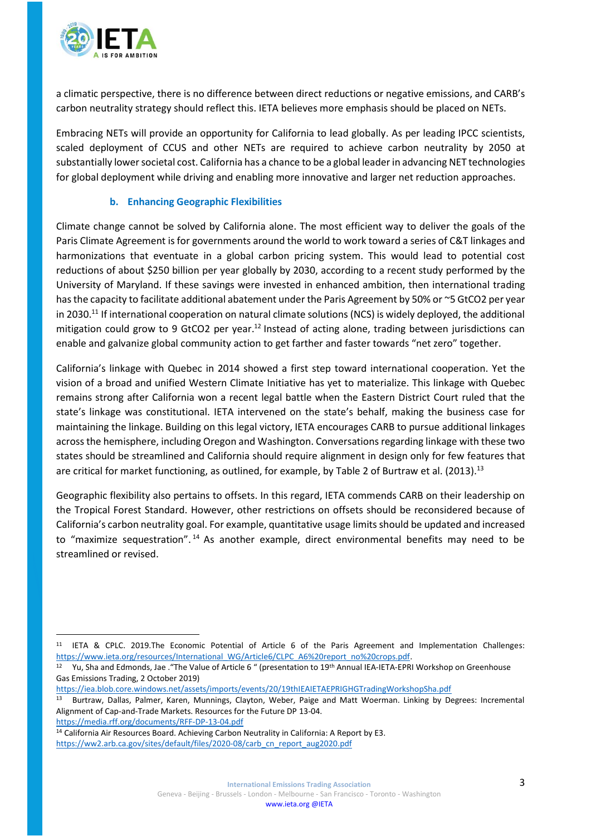

a climatic perspective, there is no difference between direct reductions or negative emissions, and CARB's carbon neutrality strategy should reflect this. IETA believes more emphasis should be placed on NETs.

Embracing NETs will provide an opportunity for California to lead globally. As per leading IPCC scientists, scaled deployment of CCUS and other NETs are required to achieve carbon neutrality by 2050 at substantially lower societal cost. California has a chance to be a global leader in advancing NET technologies for global deployment while driving and enabling more innovative and larger net reduction approaches.

#### **b. Enhancing Geographic Flexibilities**

Climate change cannot be solved by California alone. The most efficient way to deliver the goals of the Paris Climate Agreement is for governments around the world to work toward a series of C&T linkages and harmonizations that eventuate in a global carbon pricing system. This would lead to potential cost reductions of about \$250 billion per year globally by 2030, according to a recent study performed by the University of Maryland. If these savings were invested in enhanced ambition, then international trading has the capacity to facilitate additional abatement under the Paris Agreement by 50% or ~5 GtCO2 per year in 2030.<sup>11</sup> If international cooperation on natural climate solutions (NCS) is widely deployed, the additional mitigation could grow to 9 GtCO2 per year.<sup>12</sup> Instead of acting alone, trading between jurisdictions can enable and galvanize global community action to get farther and faster towards "net zero" together.

California's linkage with Quebec in 2014 showed a first step toward international cooperation. Yet the vision of a broad and unified Western Climate Initiative has yet to materialize. This linkage with Quebec remains strong after California won a recent legal battle when the Eastern District Court ruled that the state's linkage was constitutional. IETA intervened on the state's behalf, making the business case for maintaining the linkage. Building on this legal victory, IETA encourages CARB to pursue additional linkages acrossthe hemisphere, including Oregon and Washington. Conversations regarding linkage with these two states should be streamlined and California should require alignment in design only for few features that are critical for market functioning, as outlined, for example, by Table 2 of Burtraw et al. (2013).<sup>13</sup>

Geographic flexibility also pertains to offsets. In this regard, IETA commends CARB on their leadership on the Tropical Forest Standard. However, other restrictions on offsets should be reconsidered because of California's carbon neutrality goal. For example, quantitative usage limits should be updated and increased to "maximize sequestration".<sup>14</sup> As another example, direct environmental benefits may need to be streamlined or revised.

<https://media.rff.org/documents/RFF-DP-13-04.pdf>

<sup>11</sup> IETA & CPLC. 2019.The Economic Potential of Article 6 of the Paris Agreement and Implementation Challenges: [https://www.ieta.org/resources/International\\_WG/Article6/CLPC\\_A6%20report\\_no%20crops.pdf.](https://www.ieta.org/resources/International_WG/Article6/CLPC_A6%20report_no%20crops.pdf) 

<sup>&</sup>lt;sup>12</sup> Yu, Sha and Edmonds, Jae . "The Value of Article 6 " (presentation to 19<sup>th</sup> Annual IEA-IETA-EPRI Workshop on Greenhouse Gas Emissions Trading, 2 October 2019)

<https://iea.blob.core.windows.net/assets/imports/events/20/19thIEAIETAEPRIGHGTradingWorkshopSha.pdf>

<sup>13</sup> Burtraw, Dallas, Palmer, Karen, Munnings, Clayton, Weber, Paige and Matt Woerman. Linking by Degrees: Incremental Alignment of Cap-and-Trade Markets. Resources for the Future DP 13-04.

<sup>&</sup>lt;sup>14</sup> California Air Resources Board. Achieving Carbon Neutrality in California: A Report by E3. [https://ww2.arb.ca.gov/sites/default/files/2020-08/carb\\_cn\\_report\\_aug2020.pdf](https://ww2.arb.ca.gov/sites/default/files/2020-08/carb_cn_report_aug2020.pdf)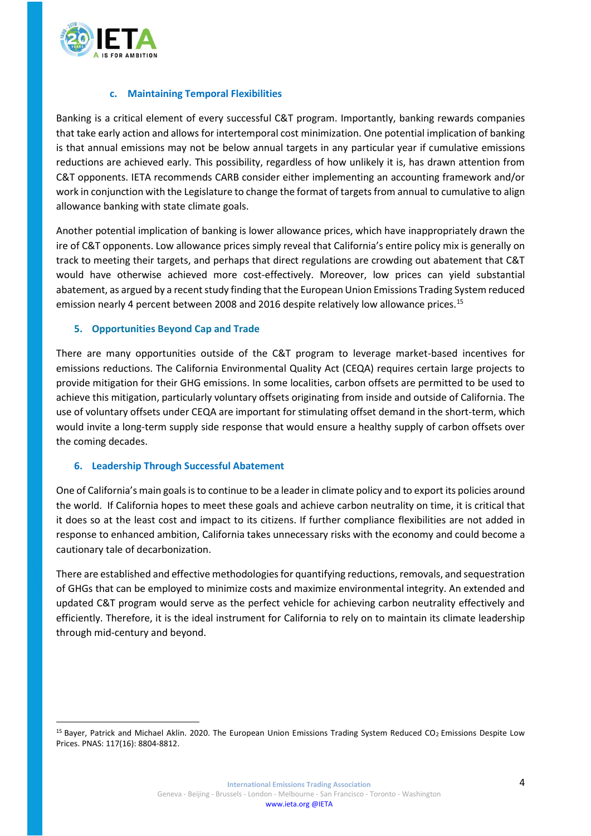

#### **c. Maintaining Temporal Flexibilities**

Banking is a critical element of every successful C&T program. Importantly, banking rewards companies that take early action and allows for intertemporal cost minimization. One potential implication of banking is that annual emissions may not be below annual targets in any particular year if cumulative emissions reductions are achieved early. This possibility, regardless of how unlikely it is, has drawn attention from C&T opponents. IETA recommends CARB consider either implementing an accounting framework and/or work in conjunction with the Legislature to change the format of targets from annual to cumulative to align allowance banking with state climate goals.

Another potential implication of banking is lower allowance prices, which have inappropriately drawn the ire of C&T opponents. Low allowance prices simply reveal that California's entire policy mix is generally on track to meeting their targets, and perhaps that direct regulations are crowding out abatement that C&T would have otherwise achieved more cost-effectively. Moreover, low prices can yield substantial abatement, as argued by a recent study finding that the European Union Emissions Trading System reduced emission nearly 4 percent between 2008 and 2016 despite relatively low allowance prices.<sup>15</sup>

### **5. Opportunities Beyond Cap and Trade**

There are many opportunities outside of the C&T program to leverage market-based incentives for emissions reductions. The California Environmental Quality Act (CEQA) requires certain large projects to provide mitigation for their GHG emissions. In some localities, carbon offsets are permitted to be used to achieve this mitigation, particularly voluntary offsets originating from inside and outside of California. The use of voluntary offsets under CEQA are important for stimulating offset demand in the short-term, which would invite a long-term supply side response that would ensure a healthy supply of carbon offsets over the coming decades.

#### **6. Leadership Through Successful Abatement**

One of California's main goals is to continue to be a leader in climate policy and to export its policies around the world. If California hopes to meet these goals and achieve carbon neutrality on time, it is critical that it does so at the least cost and impact to its citizens. If further compliance flexibilities are not added in response to enhanced ambition, California takes unnecessary risks with the economy and could become a cautionary tale of decarbonization.

There are established and effective methodologies for quantifying reductions, removals, and sequestration of GHGs that can be employed to minimize costs and maximize environmental integrity. An extended and updated C&T program would serve as the perfect vehicle for achieving carbon neutrality effectively and efficiently. Therefore, it is the ideal instrument for California to rely on to maintain its climate leadership through mid-century and beyond.

<sup>&</sup>lt;sup>15</sup> Bayer, Patrick and Michael Aklin. 2020. The European Union Emissions Trading System Reduced CO<sub>2</sub> Emissions Despite Low Prices. PNAS: 117(16): 8804-8812.